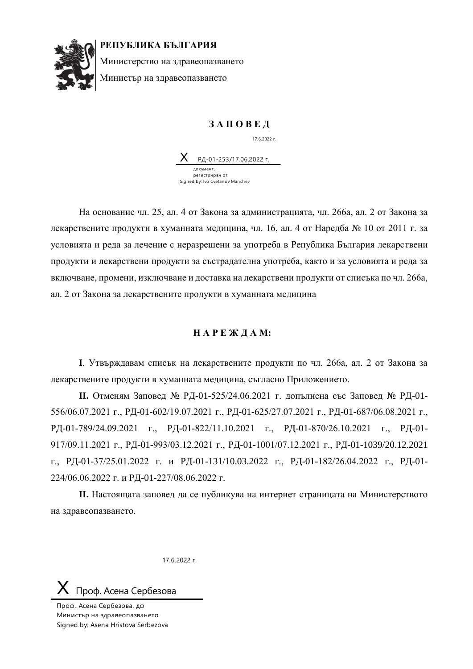

**РЕПУБЛИКА БЪЛГАРИЯ**

Министерство на здравеопазването Министър на здравеопазването

## **З А П О В Е Д**

17.6.2022 г.

РД-01-253/17.06.2022 г. документ, регистриран от: Signed by: Ivo Cvetanov Manchev

На основание чл. 25, ал. 4 от Закона за администрацията, чл. 266а, ал. 2 от Закона за лекарствените продукти в хуманната медицина, чл. 16, ал. 4 от Наредба № 10 от 2011 г. за условията и реда за лечение с неразрешени за употреба в Република България лекарствени продукти и лекарствени продукти за състрадателна употреба, както и за условията и реда за включване, промени, изключване и доставка на лекарствени продукти от списъка по чл. 266а, ал. 2 от Закона за лекарствените продукти в хуманната медицина

## **Н А Р Е Ж Д А М:**

**I**. Утвърждавам списък на лекарствените продукти по чл. 266а, ал. 2 от Закона за лекарствените продукти в хуманната медицина, съгласно Приложението.

**II.** Отменям Заповед № РД-01-525/24.06.2021 г. допълнена със Заповед № РД-01- 556/06.07.2021 г., РД-01-602/19.07.2021 г., РД-01-625/27.07.2021 г., РД-01-687/06.08.2021 г., РД-01-789/24.09.2021 г., РД-01-822/11.10.2021 г., РД-01-870/26.10.2021 г., РД-01- 917/09.11.2021 г., РД-01-993/03.12.2021 г., РД-01-1001/07.12.2021 г., РД-01-1039/20.12.2021 г., РД-01-37/25.01.2022 г. и РД-01-131/10.03.2022 г., РД-01-182/26.04.2022 г., РД-01- 224/06.06.2022 г. и РД-01-227/08.06.2022 г.

**II.** Настоящата заповед да се публикува на интернет страницата на Министерството на здравеопазването.

17.6.2022 г.

## Проф. Асена Сербезова

Проф. Асена Сербезова, дф Министър на здравеопазването Signed by: Asena Hristova Serbezova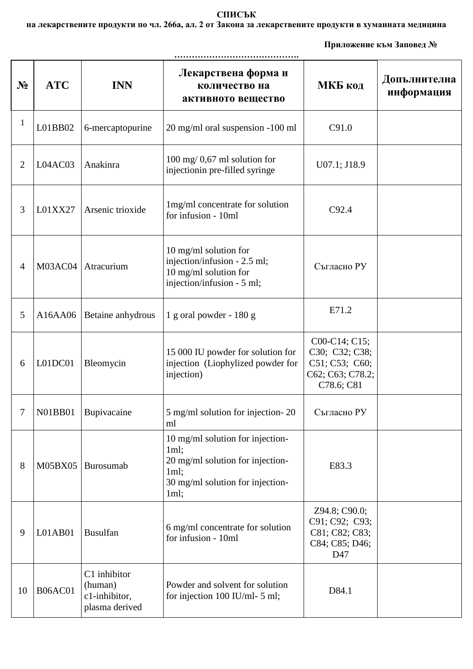## **СПИСЪК**

**на лекарствените продукти по чл. 266а, ал. 2 от Закона за лекарствените продукти в хуманната медицина** 

 **Приложение към Заповед №** 

| $N_2$          | <b>ATC</b>     | <b>INN</b>                                                 | Лекарствена форма и<br>количество на<br>активното вещество                                                                       | МКБ код                                                                             | Допълнителна<br>информация |  |  |
|----------------|----------------|------------------------------------------------------------|----------------------------------------------------------------------------------------------------------------------------------|-------------------------------------------------------------------------------------|----------------------------|--|--|
| $\mathbf{1}$   | L01BB02        | 6-mercaptopurine                                           | 20 mg/ml oral suspension -100 ml                                                                                                 | C91.0                                                                               |                            |  |  |
| 2              | L04AC03        | Anakinra                                                   | $100 \text{ mg}/ 0.67 \text{ ml}$ solution for<br>injectionin pre-filled syringe                                                 | U07.1; J18.9                                                                        |                            |  |  |
| 3              | L01XX27        | Arsenic trioxide                                           | 1mg/ml concentrate for solution<br>for infusion - 10ml                                                                           | C92.4                                                                               |                            |  |  |
| $\overline{4}$ | M03AC04        | Atracurium                                                 | 10 mg/ml solution for<br>injection/infusion - 2.5 ml;<br>10 mg/ml solution for<br>injection/infusion - 5 ml;                     | Съгласно РУ                                                                         |                            |  |  |
| 5              | A16AA06        | Betaine anhydrous                                          | $1$ g oral powder - $180$ g                                                                                                      | E71.2                                                                               |                            |  |  |
| 6              | L01DC01        | Bleomycin                                                  | 15 000 IU powder for solution for<br>injection (Liophylized powder for<br>injection)                                             | C00-C14; C15;<br>C30; C32; C38;<br>C51; C53; C60;<br>C62; C63; C78.2;<br>C78.6; C81 |                            |  |  |
| 7              | <b>N01BB01</b> | Bupivacaine                                                | 5 mg/ml solution for injection-20<br>ml                                                                                          | Съгласно РУ                                                                         |                            |  |  |
| 8              | M05BX05        | Burosumab                                                  | 10 mg/ml solution for injection-<br>1ml;<br>20 mg/ml solution for injection-<br>1ml;<br>30 mg/ml solution for injection-<br>1ml; | E83.3                                                                               |                            |  |  |
| 9              | L01AB01        | <b>Busulfan</b>                                            | 6 mg/ml concentrate for solution<br>for infusion - 10ml                                                                          | Z94.8; C90.0;<br>C91; C92; C93;<br>C81; C82; C83;<br>C84; C85; D46;<br>D47          |                            |  |  |
| 10             | <b>B06AC01</b> | C1 inhibitor<br>(human)<br>c1-inhibitor,<br>plasma derived | Powder and solvent for solution<br>for injection 100 IU/ml- $5$ ml;                                                              | D84.1                                                                               |                            |  |  |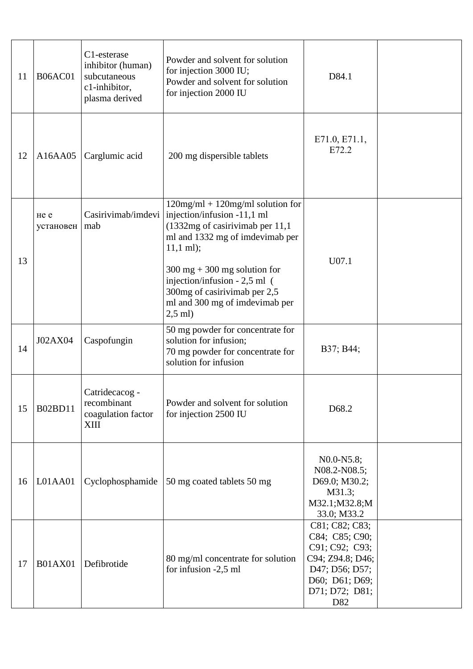| 11 | <b>B06AC01</b>    | C1-esterase<br>inhibitor (human)<br>subcutaneous<br>c1-inhibitor,<br>plasma derived | Powder and solvent for solution<br>for injection 3000 IU;<br>Powder and solvent for solution<br>for injection 2000 IU                                                                                                                                                                                                        | D84.1                                                                                                                               |  |
|----|-------------------|-------------------------------------------------------------------------------------|------------------------------------------------------------------------------------------------------------------------------------------------------------------------------------------------------------------------------------------------------------------------------------------------------------------------------|-------------------------------------------------------------------------------------------------------------------------------------|--|
| 12 | A16AA05           | Carglumic acid                                                                      | 200 mg dispersible tablets                                                                                                                                                                                                                                                                                                   | E71.0, E71.1,<br>E72.2                                                                                                              |  |
| 13 | не е<br>установен | Casirivimab/imdevi<br>mab                                                           | $120$ mg/ml + $120$ mg/ml solution for<br>injection/infusion -11,1 ml<br>(1332mg of casirivimab per 11,1<br>ml and 1332 mg of imdevimab per<br>$11,1$ ml);<br>$300 \text{ mg} + 300 \text{ mg}$ solution for<br>injection/infusion - 2,5 ml (<br>300mg of casirivimab per 2,5<br>ml and 300 mg of imdevimab per<br>$2,5$ ml) | U07.1                                                                                                                               |  |
| 14 | J02AX04           | Caspofungin                                                                         | 50 mg powder for concentrate for<br>solution for infusion;<br>70 mg powder for concentrate for<br>solution for infusion                                                                                                                                                                                                      | B37; B44;                                                                                                                           |  |
| 15 | <b>B02BD11</b>    | Catridecacog -<br>recombinant<br>coagulation factor<br><b>XIII</b>                  | Powder and solvent for solution<br>for injection 2500 IU                                                                                                                                                                                                                                                                     | D68.2                                                                                                                               |  |
| 16 | L01AA01           | Cyclophosphamide                                                                    | 50 mg coated tablets 50 mg                                                                                                                                                                                                                                                                                                   | N0.0-N5.8;<br>N08.2-N08.5;<br>D69.0; M30.2;<br>M31.3;<br>M32.1;M32.8;M<br>33.0; M33.2                                               |  |
| 17 | <b>B01AX01</b>    | Defibrotide                                                                         | 80 mg/ml concentrate for solution<br>for infusion -2,5 ml                                                                                                                                                                                                                                                                    | C81; C82; C83;<br>C84; C85; C90;<br>C91; C92; C93;<br>C94; Z94.8; D46;<br>D47; D56; D57;<br>D60; D61; D69;<br>D71; D72; D81;<br>D82 |  |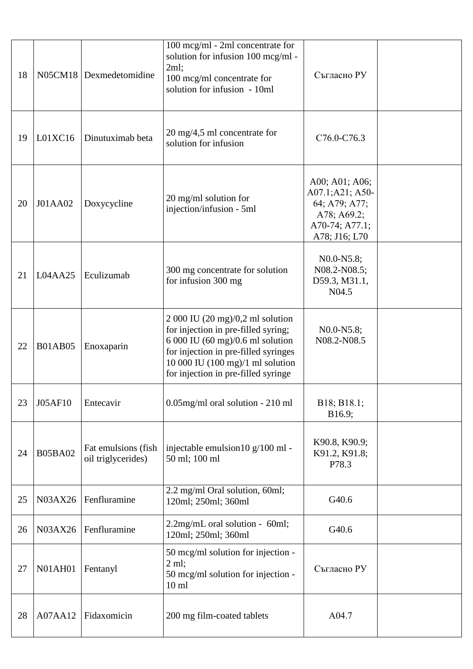| 18 |                | N05CM18 Dexmedetomidine                    | 100 mcg/ml - 2ml concentrate for<br>solution for infusion 100 mcg/ml -<br>2ml;<br>100 mcg/ml concentrate for<br>solution for infusion - 10ml                                                                                          | Съгласно РУ                                                                                          |  |
|----|----------------|--------------------------------------------|---------------------------------------------------------------------------------------------------------------------------------------------------------------------------------------------------------------------------------------|------------------------------------------------------------------------------------------------------|--|
| 19 | L01XC16        | Dinutuximab beta                           | $20 \text{ mg}/4,5 \text{ ml}$ concentrate for<br>solution for infusion                                                                                                                                                               | C76.0-C76.3                                                                                          |  |
| 20 | J01AA02        | Doxycycline                                | 20 mg/ml solution for<br>injection/infusion - 5ml                                                                                                                                                                                     | A00; A01; A06;<br>A07.1;A21; A50-<br>64; A79; A77;<br>A78; A69.2;<br>A70-74; A77.1;<br>A78; J16; L70 |  |
| 21 | L04AA25        | Eculizumab                                 | 300 mg concentrate for solution<br>for infusion 300 mg                                                                                                                                                                                | N0.0-N5.8;<br>N08.2-N08.5;<br>D59.3, M31.1,<br>N <sub>04.5</sub>                                     |  |
| 22 | <b>B01AB05</b> | Enoxaparin                                 | $2000$ IU (20 mg)/0,2 ml solution<br>for injection in pre-filled syring;<br>$6000$ IU $(60$ mg $)/0.6$ ml solution<br>for injection in pre-filled syringes<br>10 000 IU (100 mg)/1 ml solution<br>for injection in pre-filled syringe | $N0.0-N5.8;$<br>N08.2-N08.5                                                                          |  |
| 23 | J05AF10        | Entecavir                                  | 0.05mg/ml oral solution - 210 ml                                                                                                                                                                                                      | B18; B18.1;<br>B16.9;                                                                                |  |
| 24 | <b>B05BA02</b> | Fat emulsions (fish)<br>oil triglycerides) | injectable emulsion10 g/100 ml -<br>50 ml; 100 ml                                                                                                                                                                                     | K90.8, K90.9;<br>K91.2, K91.8;<br>P78.3                                                              |  |
| 25 | N03AX26        | Fenfluramine                               | 2.2 mg/ml Oral solution, 60ml;<br>120ml; 250ml; 360ml                                                                                                                                                                                 | G40.6                                                                                                |  |
| 26 | N03AX26        | Fenfluramine                               | 2.2mg/mL oral solution - 60ml;<br>120ml; 250ml; 360ml                                                                                                                                                                                 | G40.6                                                                                                |  |
| 27 | <b>N01AH01</b> | Fentanyl                                   | 50 mcg/ml solution for injection -<br>$2 \text{ ml}$ ;<br>50 mcg/ml solution for injection -<br>10 <sub>ml</sub>                                                                                                                      | Съгласно РУ                                                                                          |  |
| 28 | A07AA12        | Fidaxomicin                                | 200 mg film-coated tablets                                                                                                                                                                                                            | A04.7                                                                                                |  |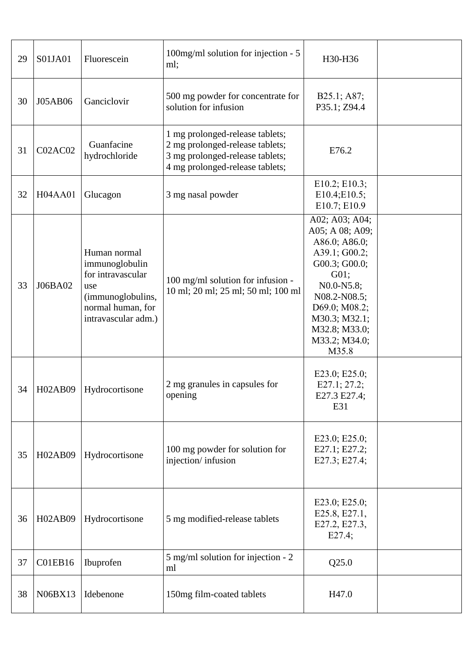| 29 | S01JA01 | Fluorescein                                                                                                                 | 100mg/ml solution for injection - 5<br>ml;                                                                                               | H30-H36                                                                                                                                                                                                 |  |
|----|---------|-----------------------------------------------------------------------------------------------------------------------------|------------------------------------------------------------------------------------------------------------------------------------------|---------------------------------------------------------------------------------------------------------------------------------------------------------------------------------------------------------|--|
| 30 | J05AB06 | Ganciclovir                                                                                                                 | 500 mg powder for concentrate for<br>solution for infusion                                                                               | B25.1; A87;<br>P35.1; Z94.4                                                                                                                                                                             |  |
| 31 | C02AC02 | Guanfacine<br>hydrochloride                                                                                                 | 1 mg prolonged-release tablets;<br>2 mg prolonged-release tablets;<br>3 mg prolonged-release tablets;<br>4 mg prolonged-release tablets; | E76.2                                                                                                                                                                                                   |  |
| 32 | H04AA01 | Glucagon                                                                                                                    | 3 mg nasal powder                                                                                                                        | E10.2; E10.3;<br>E10.4;E10.5;<br>E10.7; E10.9                                                                                                                                                           |  |
| 33 | J06BA02 | Human normal<br>immunoglobulin<br>for intravascular<br>use<br>(immunoglobulins,<br>normal human, for<br>intravascular adm.) | 100 mg/ml solution for infusion -<br>10 ml; 20 ml; 25 ml; 50 ml; 100 ml                                                                  | A02; A03; A04;<br>A05; A 08; A09;<br>A86.0; A86.0;<br>A39.1; G00.2;<br>G00.3; G00.0;<br>G01;<br>N0.0-N5.8;<br>N08.2-N08.5;<br>D69.0; M08.2;<br>M30.3; M32.1;<br>M32.8; M33.0;<br>M33.2; M34.0;<br>M35.8 |  |
| 34 | H02AB09 | Hydrocortisone                                                                                                              | 2 mg granules in capsules for<br>opening                                                                                                 | E23.0; E25.0;<br>E27.1; 27.2;<br>E27.3 E27.4;<br>E31                                                                                                                                                    |  |
| 35 | H02AB09 | Hydrocortisone                                                                                                              | 100 mg powder for solution for<br>injection/infusion                                                                                     | E23.0; E25.0;<br>E27.1; E27.2;<br>E27.3; E27.4;                                                                                                                                                         |  |
| 36 | H02AB09 | Hydrocortisone                                                                                                              | 5 mg modified-release tablets                                                                                                            | E23.0; E25.0;<br>E25.8, E27.1,<br>E27.2, E27.3,<br>E27.4;                                                                                                                                               |  |
| 37 | C01EB16 | Ibuprofen                                                                                                                   | 5 mg/ml solution for injection - 2<br>ml                                                                                                 | Q25.0                                                                                                                                                                                                   |  |
| 38 | N06BX13 | Idebenone                                                                                                                   | 150mg film-coated tablets                                                                                                                | H47.0                                                                                                                                                                                                   |  |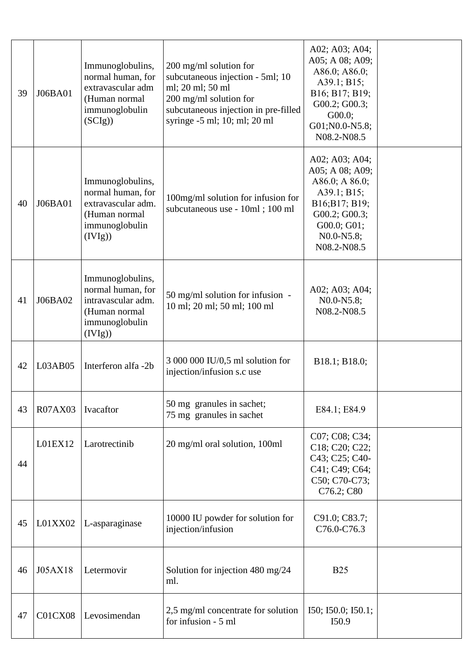| 39 | J06BA01 | Immunoglobulins,<br>normal human, for<br>extravascular adm<br>(Human normal<br>immunoglobulin<br>(SCIg)   | $200 \text{ mg/ml}$ solution for<br>subcutaneous injection - 5ml; 10<br>ml; 20 ml; 50 ml<br>$200$ mg/ml solution for<br>subcutaneous injection in pre-filled<br>syringe $-5$ ml; 10; ml; 20 ml | A02; A03; A04;<br>A05; A 08; A09;<br>A86.0; A86.0;<br>A39.1; B15;<br>B16; B17; B19;<br>G00.2; G00.3;<br>G00.0;<br>G01;N0.0-N5.8;<br>N08.2-N08.5                            |  |
|----|---------|-----------------------------------------------------------------------------------------------------------|------------------------------------------------------------------------------------------------------------------------------------------------------------------------------------------------|----------------------------------------------------------------------------------------------------------------------------------------------------------------------------|--|
| 40 | J06BA01 | Immunoglobulins,<br>normal human, for<br>extravascular adm.<br>(Human normal<br>immunoglobulin<br>(IVIg)) | 100mg/ml solution for infusion for<br>subcutaneous use - 10ml; 100 ml                                                                                                                          | A02; A03; A04;<br>A05; A 08; A09;<br>A86.0; A 86.0;<br>A39.1; B15;<br>B16;B17; B19;<br>G00.2; G00.3;<br>G00.0; G01;<br>N <sub>0.0</sub> -N <sub>5.8</sub> ;<br>N08.2-N08.5 |  |
| 41 | J06BA02 | Immunoglobulins,<br>normal human, for<br>intravascular adm.<br>(Human normal<br>immunoglobulin<br>(IVIg)) | $50$ mg/ml solution for infusion -<br>10 ml; 20 ml; 50 ml; 100 ml                                                                                                                              | A02; A03; A04;<br>N0.0-N5.8;<br>N08.2-N08.5                                                                                                                                |  |
| 42 | L03AB05 | Interferon alfa -2b                                                                                       | 3 000 000 IU/0,5 ml solution for<br>injection/infusion s.c use                                                                                                                                 | B18.1; B18.0;                                                                                                                                                              |  |
| 43 | R07AX03 | Ivacaftor                                                                                                 | 50 mg granules in sachet;<br>75 mg granules in sachet                                                                                                                                          | E84.1; E84.9                                                                                                                                                               |  |
| 44 | L01EX12 | Larotrectinib                                                                                             | 20 mg/ml oral solution, 100ml                                                                                                                                                                  | C07; C08; C34;<br>C18; C20; C22;<br>C43; C25; C40-<br>C41; C49; C64;<br>C50; C70-C73;<br>C76.2; C80                                                                        |  |
| 45 | L01XX02 | L-asparaginase                                                                                            | 10000 IU powder for solution for<br>injection/infusion                                                                                                                                         | C91.0; C83.7;<br>C76.0-C76.3                                                                                                                                               |  |
| 46 | J05AX18 | Letermovir                                                                                                | Solution for injection 480 mg/24<br>ml.                                                                                                                                                        | <b>B25</b>                                                                                                                                                                 |  |
| 47 | C01CX08 | Levosimendan                                                                                              | 2,5 mg/ml concentrate for solution<br>for infusion - 5 ml                                                                                                                                      | I50; I50.0; I50.1;<br>I50.9                                                                                                                                                |  |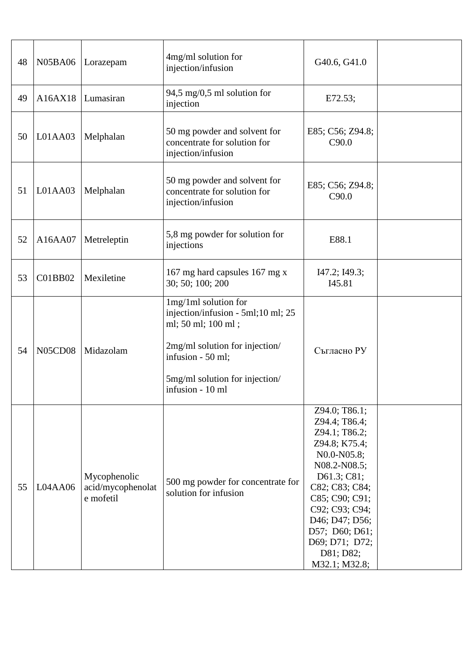| 48 | N05BA06        | Lorazepam                                      | 4mg/ml solution for<br>injection/infusion                                                                                                                                                     | G40.6, G41.0                                                                                                                                                                                                                                             |  |
|----|----------------|------------------------------------------------|-----------------------------------------------------------------------------------------------------------------------------------------------------------------------------------------------|----------------------------------------------------------------------------------------------------------------------------------------------------------------------------------------------------------------------------------------------------------|--|
| 49 | A16AX18        | Lumasiran                                      | 94,5 mg/0,5 ml solution for<br>injection                                                                                                                                                      | E72.53;                                                                                                                                                                                                                                                  |  |
| 50 | L01AA03        | Melphalan                                      | 50 mg powder and solvent for<br>concentrate for solution for<br>injection/infusion                                                                                                            | E85; C56; Z94.8;<br>C90.0                                                                                                                                                                                                                                |  |
| 51 | L01AA03        | Melphalan                                      | 50 mg powder and solvent for<br>concentrate for solution for<br>injection/infusion                                                                                                            | E85; C56; Z94.8;<br>C90.0                                                                                                                                                                                                                                |  |
| 52 | A16AA07        | Metreleptin                                    | 5,8 mg powder for solution for<br>injections                                                                                                                                                  | E88.1                                                                                                                                                                                                                                                    |  |
| 53 | C01BB02        | Mexiletine                                     | 167 mg hard capsules 167 mg x<br>30; 50; 100; 200                                                                                                                                             | I47.2; I49.3;<br>I45.81                                                                                                                                                                                                                                  |  |
| 54 | <b>N05CD08</b> | Midazolam                                      | 1mg/1ml solution for<br>injection/infusion - 5ml;10 ml; 25<br>ml; 50 ml; 100 ml;<br>2mg/ml solution for injection/<br>infusion - 50 ml;<br>5mg/ml solution for injection/<br>infusion - 10 ml | Съгласно РУ                                                                                                                                                                                                                                              |  |
| 55 | L04AA06        | Mycophenolic<br>acid/mycophenolat<br>e mofetil | 500 mg powder for concentrate for<br>solution for infusion                                                                                                                                    | Z94.0; T86.1;<br>Z94.4; T86.4;<br>Z94.1; T86.2;<br>Z94.8; K75.4;<br>N0.0-N05.8;<br>N08.2-N08.5;<br>D61.3; C81;<br>C82; C83; C84;<br>C85; C90; C91;<br>C92; C93; C94;<br>D46; D47; D56;<br>D57; D60; D61;<br>D69; D71; D72;<br>D81; D82;<br>M32.1; M32.8; |  |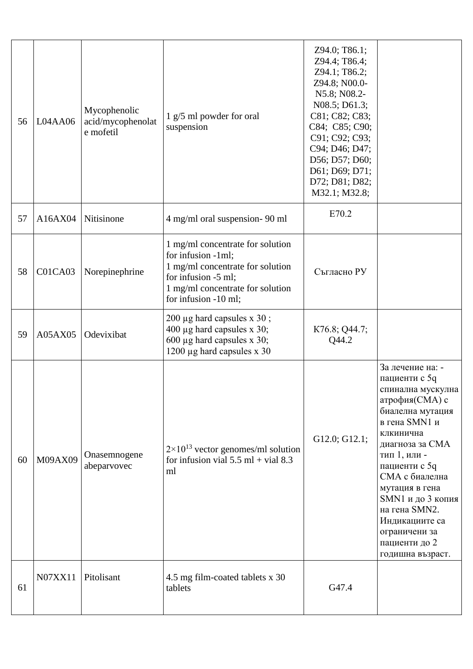| 56 | L04AA06 | Mycophenolic<br>acid/mycophenolat<br>e mofetil | 1 g/5 ml powder for oral<br>suspension                                                                                                                                        | Z94.0; T86.1;<br>Z94.4; T86.4;<br>Z94.1; T86.2;<br>Z94.8; N00.0-<br>N5.8; N08.2-<br>N08.5; D61.3;<br>C81; C82; C83;<br>C84; C85; C90;<br>C91; C92; C93;<br>C94; D46; D47;<br>D56; D57; D60;<br>D61; D69; D71;<br>D72; D81; D82;<br>M32.1; M32.8; |                                                                                                                                                                                                                                                                                                                                  |
|----|---------|------------------------------------------------|-------------------------------------------------------------------------------------------------------------------------------------------------------------------------------|--------------------------------------------------------------------------------------------------------------------------------------------------------------------------------------------------------------------------------------------------|----------------------------------------------------------------------------------------------------------------------------------------------------------------------------------------------------------------------------------------------------------------------------------------------------------------------------------|
| 57 | A16AX04 | Nitisinone                                     | 4 mg/ml oral suspension- 90 ml                                                                                                                                                | E70.2                                                                                                                                                                                                                                            |                                                                                                                                                                                                                                                                                                                                  |
| 58 | C01CA03 | Norepinephrine                                 | 1 mg/ml concentrate for solution<br>for infusion -1ml;<br>1 mg/ml concentrate for solution<br>for infusion -5 ml;<br>1 mg/ml concentrate for solution<br>for infusion -10 ml; | Съгласно РУ                                                                                                                                                                                                                                      |                                                                                                                                                                                                                                                                                                                                  |
| 59 | A05AX05 | Odevixibat                                     | 200 μg hard capsules x 30;<br>400 µg hard capsules x 30;<br>600 µg hard capsules x 30;<br>1200 µg hard capsules x 30                                                          | K76.8; Q44.7;<br>Q44.2                                                                                                                                                                                                                           |                                                                                                                                                                                                                                                                                                                                  |
| 60 | M09AX09 | Onasemnogene<br>abeparvovec                    | $2 \times 10^{13}$ vector genomes/ml solution<br>for infusion vial $5.5$ ml + vial 8.3<br>ml                                                                                  | G12.0; G12.1;                                                                                                                                                                                                                                    | За лечение на: -<br>пациенти с 5q<br>спинална мускулна<br>атрофия(СМА) с<br>биалелна мутация<br>в гена SMN1 и<br>клкинична<br>диагноза за СМА<br>тип 1, или -<br>пациенти с 5q<br>СМА с биалелна<br>мутация в гена<br>SMN1 и до 3 копия<br>на гена SMN2.<br>Индикациите са<br>ограничени за<br>пациенти до 2<br>годишна възраст. |
| 61 | N07XX11 | Pitolisant                                     | 4.5 mg film-coated tablets x 30<br>tablets                                                                                                                                    | G47.4                                                                                                                                                                                                                                            |                                                                                                                                                                                                                                                                                                                                  |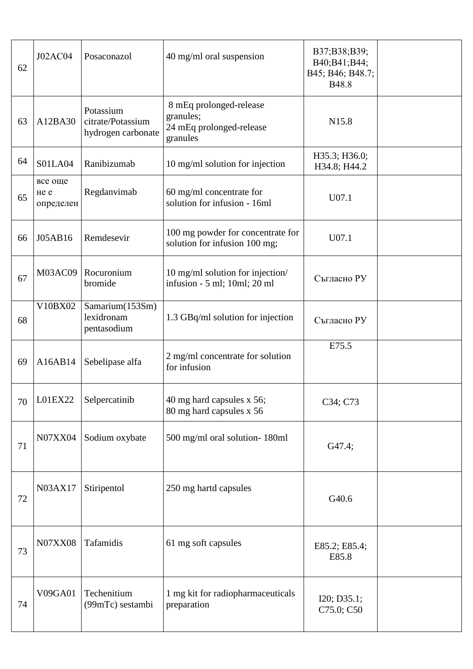| 62 | J02AC04                      | Posaconazol                                          | 40 mg/ml oral suspension                                                     | B37;B38;B39;<br>B40;B41;B44;<br>B45; B46; B48.7;<br>B48.8 |  |
|----|------------------------------|------------------------------------------------------|------------------------------------------------------------------------------|-----------------------------------------------------------|--|
| 63 | A12BA30                      | Potassium<br>citrate/Potassium<br>hydrogen carbonate | 8 mEq prolonged-release<br>granules;<br>24 mEq prolonged-release<br>granules | N15.8                                                     |  |
| 64 | <b>S01LA04</b>               | Ranibizumab                                          | 10 mg/ml solution for injection                                              | H35.3; H36.0;<br>H34.8; H44.2                             |  |
| 65 | все още<br>He e<br>определен | Regdanvimab                                          | 60 mg/ml concentrate for<br>solution for infusion - 16ml                     | U07.1                                                     |  |
| 66 | J05AB16                      | Remdesevir                                           | 100 mg powder for concentrate for<br>solution for infusion 100 mg;           | U07.1                                                     |  |
| 67 | M03AC09                      | Rocuronium<br>bromide                                | 10 mg/ml solution for injection/<br>infusion - 5 ml; 10ml; 20 ml             | Съгласно РУ                                               |  |
| 68 | V10BX02                      | Samarium(153Sm)<br>lexidronam<br>pentasodium         | 1.3 GBq/ml solution for injection                                            | Съгласно РУ                                               |  |
| 69 | A16AB14                      | Sebelipase alfa                                      | 2 mg/ml concentrate for solution<br>for infusion                             | E75.5                                                     |  |
| 70 | L01EX22                      | Selpercatinib                                        | 40 mg hard capsules x 56;<br>80 mg hard capsules x 56                        | C34; C73                                                  |  |
| 71 | N07XX04                      | Sodium oxybate                                       | 500 mg/ml oral solution-180ml                                                | G47.4;                                                    |  |
| 72 | N03AX17                      | Stiripentol                                          | 250 mg hartd capsules                                                        | G40.6                                                     |  |
| 73 | <b>N07XX08</b>               | Tafamidis                                            | 61 mg soft capsules                                                          | E85.2; E85.4;<br>E85.8                                    |  |
| 74 | V09GA01                      | Techenitium<br>(99mTc) sestambi                      | 1 mg kit for radiopharmaceuticals<br>preparation                             | I20; D35.1;<br>C75.0; C50                                 |  |